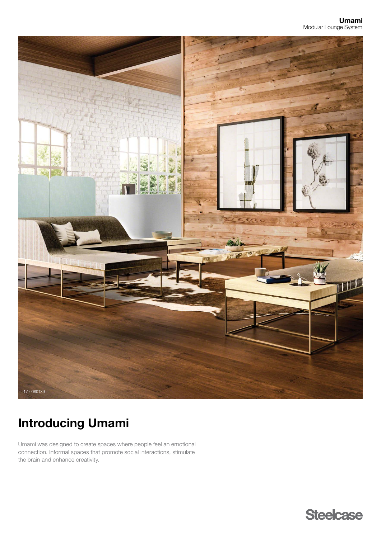

# Introducing Umami

Umami was designed to create spaces where people feel an emotional connection. Informal spaces that promote social interactions, stimulate the brain and enhance creativity.

**Steelcase**